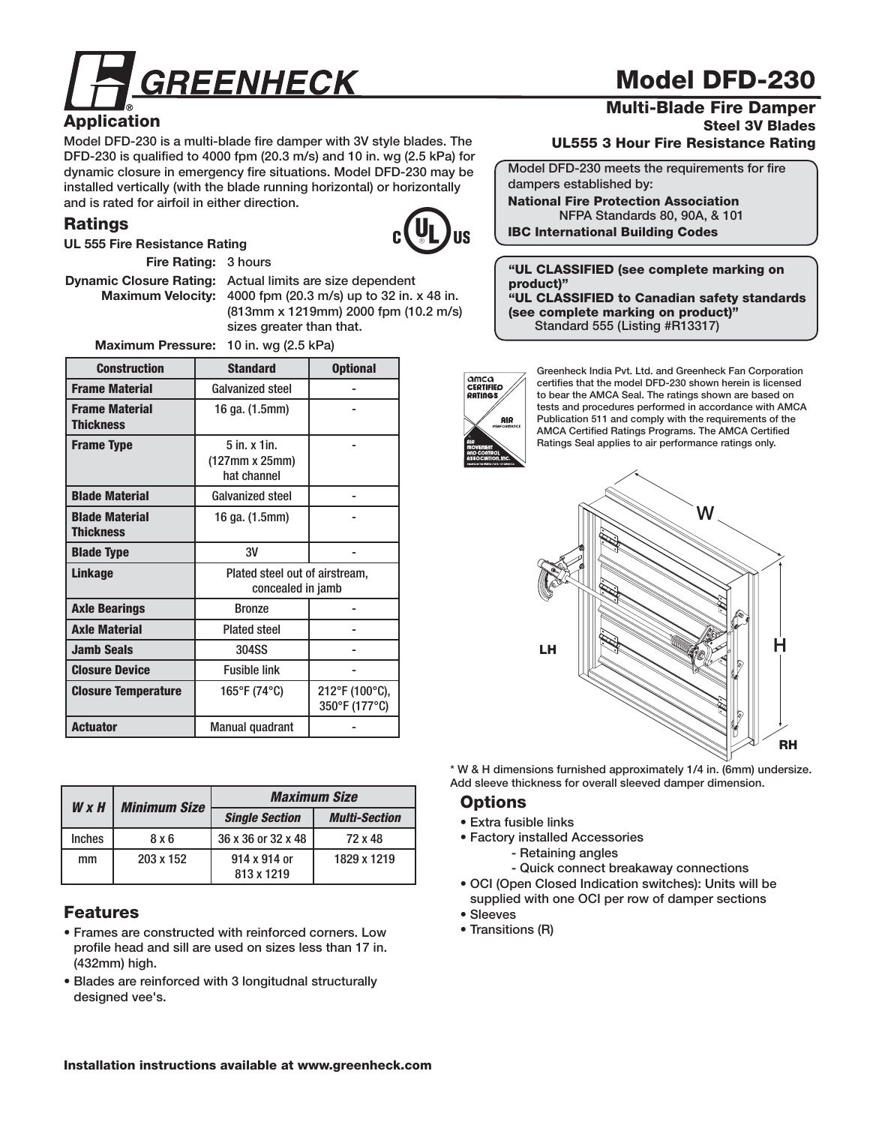

## **Application**

**Model DFD-230 is a multi-blade fire damper with 3V style blades. The DFD-230 is qualified to 4000 fpm (20.3 m/s) and 10 in. wg (2.5 kPa) for dynamic closure in emergency fire situations. Model DFD-230 may be installed vertically (with the blade running horizontal) or horizontally and is rated for airfoil in either direction.** 

#### **Ratings**



 **Fire Rating: 3 hours**

**UL 555 Fire Resistance Rating**

 **Dynamic Closure Rating: Actual limits are size dependent Maximum Velocity: 4000 fpm (20.3 m/s) up to 32 in. x 48 in. (813mm x 1219mm) 2000 fpm (10.2 m/s) sizes greater than that.**

 **Maximum Pressure: 10 in. wg (2.5 kPa)**

| <b>Construction</b>                       | <b>Standard</b>                                     | <b>Optional</b>                 |  |  |  |
|-------------------------------------------|-----------------------------------------------------|---------------------------------|--|--|--|
| <b>Frame Material</b>                     | Galvanized steel                                    |                                 |  |  |  |
| <b>Frame Material</b><br><b>Thickness</b> | 16 ga. (1.5mm)                                      |                                 |  |  |  |
| <b>Frame Type</b>                         | 5 in. x 1 in.<br>(127mm x 25mm)<br>hat channel      |                                 |  |  |  |
| <b>Blade Material</b>                     | <b>Galvanized steel</b>                             |                                 |  |  |  |
| <b>Blade Material</b><br><b>Thickness</b> | 16 ga. (1.5mm)                                      |                                 |  |  |  |
| <b>Blade Type</b>                         | 3V                                                  |                                 |  |  |  |
| <b>Linkage</b>                            | Plated steel out of airstream,<br>concealed in jamb |                                 |  |  |  |
| <b>Axle Bearings</b>                      | <b>Bronze</b>                                       |                                 |  |  |  |
| <b>Axle Material</b>                      | <b>Plated steel</b>                                 |                                 |  |  |  |
| <b>Jamb Seals</b>                         | 304SS                                               |                                 |  |  |  |
| <b>Closure Device</b>                     | <b>Fusible link</b>                                 |                                 |  |  |  |
| <b>Closure Temperature</b>                | 165°F (74°C)                                        | 212°F (100°C),<br>350°F (177°C) |  |  |  |
| <b>Actuator</b>                           | <b>Manual quadrant</b>                              |                                 |  |  |  |

| $W \times H$  | <b>Minimum Size</b> | <b>Maximum Size</b>        |                      |  |
|---------------|---------------------|----------------------------|----------------------|--|
|               |                     | <b>Single Section</b>      | <b>Multi-Section</b> |  |
| <b>Inches</b> | 8 x 6               | 36 x 36 or 32 x 48         | 72 x 48              |  |
| mm            | 203 x 152           | 914 x 914 or<br>813 x 1219 | 1829 x 1219          |  |

#### **Features**

- **Frames are constructed with reinforced corners. Low profile head and sill are used on sizes less than 17 in. (432mm) high.**
- **Blades are reinforced with 3 longitudnal structurally designed vee's.**

# **Model DFD-230**

#### **Multi-Blade Fire Damper Steel 3V Blades UL555 3 Hour Fire Resistance Rating**

**Model DFD-230 meets the requirements for fire dampers established by: National Fire Protection Association NFPA Standards 80, 90A, & 101**

**IBC International Building Codes**

**"UL CLASSIFIED (see complete marking on product)" "UL CLASSIFIED to Canadian safety standards (see complete marking on product)" Standard 555 (Listing #R13317)**

**AMCA**<br>CERTIFIED RATINGS **AIR** 

**Greenheck India Pvt. Ltd. and Greenheck Fan Corporation certifies that the model DFD-230 shown herein is licensed to bear the AMCA Seal. The ratings shown are based on tests and procedures performed in accordance with AMCA Publication 511 and comply with the requirements of the AMCA Certified Ratings Programs. The AMCA Certified Ratings Seal applies to air performance ratings only.** 



**\* W & H dimensions furnished approximately 1/4 in. (6mm) undersize. Add sleeve thickness for overall sleeved damper dimension.**

#### **Options**

- **Extra fusible links**
- **Factory installed Accessories**
	- **Retaining angles**
	- **Quick connect breakaway connections**
- **OCI (Open Closed Indication switches): Units will be supplied with one OCI per row of damper sections**
- **Sleeves**
- **Transitions (R)**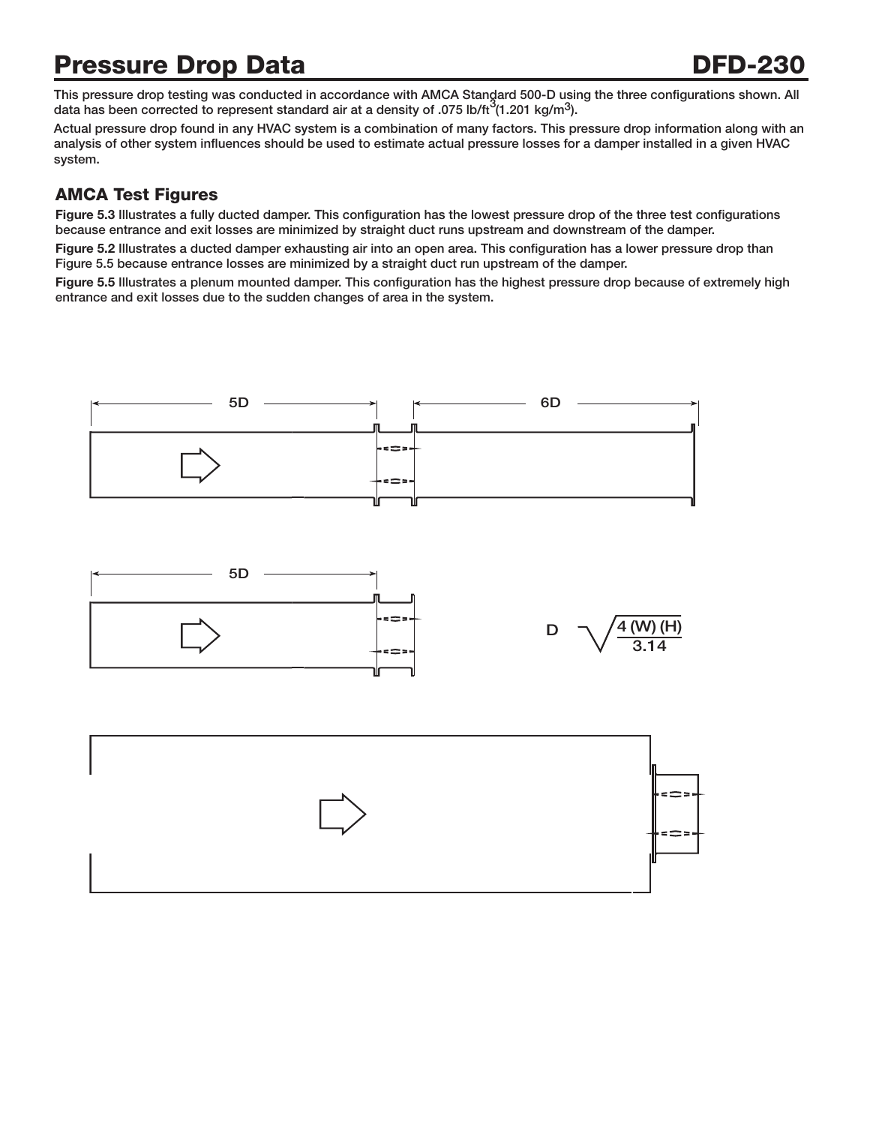## **Pressure Drop Data DFD-230**

This pressure drop testing was conducted in accordance with AMCA Standard 500-D using the three configurations shown. All data has been corrected to represent standard air at a density of .075 lb/ft<sup>3</sup>(1.201 kg/m<sup>3</sup>).

**Actual pressure drop found in any HVAC system is a combination of many factors. This pressure drop information along with an analysis of other system influences should be used to estimate actual pressure losses for a damper installed in a given HVAC system.**

## **AMCA Test Figures**

**Figure 5.3 Illustrates a fully ducted damper. This configuration has the lowest pressure drop of the three test configurations because entrance and exit losses are minimized by straight duct runs upstream and downstream of the damper.** 

**Figure 5.2 Illustrates a ducted damper exhausting air into an open area. This configuration has a lower pressure drop than Figure 5.5 because entrance losses are minimized by a straight duct run upstream of the damper.**

**Figure 5.5 Illustrates a plenum mounted damper. This configuration has the highest pressure drop because of extremely high entrance and exit losses due to the sudden changes of area in the system.**

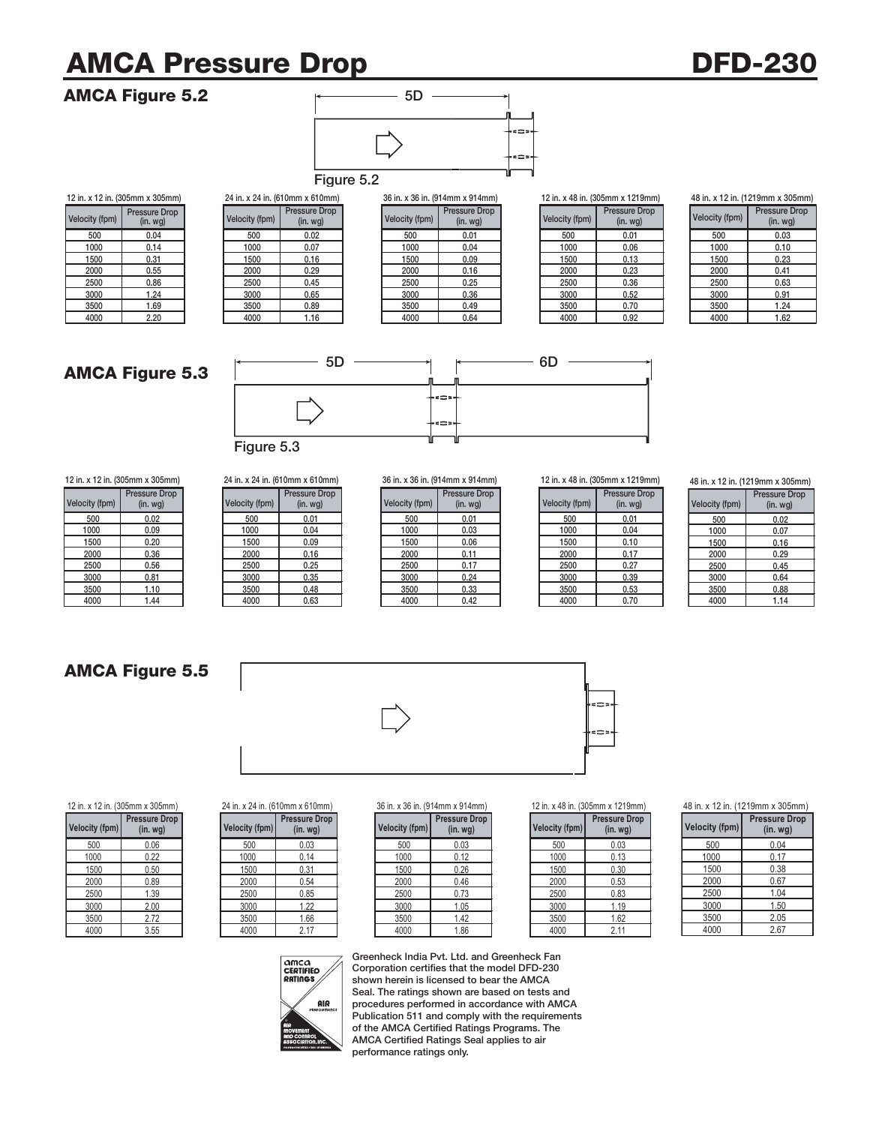# **AMCA Pressure Drop DFD-230**

#### **AMCA Figure 5.2**



|                |                                 |                |                                 | <b>Figure 5.2</b> |                |                                   |                |                                  |
|----------------|---------------------------------|----------------|---------------------------------|-------------------|----------------|-----------------------------------|----------------|----------------------------------|
|                | 12 in. x 12 in. (305mm x 305mm) |                | 24 in. x 24 in. (610mm x 610mm) |                   |                | 36 in. x 36 in. (914mm x 914mm)   |                | 12 in. x 48 in. (305mm x 1219mm) |
| Velocity (fpm) | Pressure Drop<br>(in. wg)       | Velocity (fpm) | Pressure Drop<br>(in.wg)        |                   | Velocity (fpm) | Pressure Drop<br>(in. <i>wg</i> ) | Velocity (fpm) | <b>Pressure Drop</b><br>(in.wg)  |
| 500            | 0.04                            | 500            | 0.02                            |                   | 500            | 0.01                              | 500            | 0.01                             |
| 1000           | 0.14                            | 1000           | 0.07                            |                   | 1000           | 0.04                              | 1000           | 0.06                             |
| 1500           | 0.31                            | 1500           | 0.16                            |                   | 1500           | 0.09                              | 1500           | 0.13                             |
| 2000           | 0.55                            | 2000           | 0.29                            |                   | 2000           | 0.16                              | 2000           | 0.23                             |
| 2500           | 0.86                            | 2500           | 0.45                            |                   | 2500           | 0.25                              | 2500           | 0.36                             |
| 3000           | 1.24                            | 3000           | 0.65                            |                   | 3000           | 0.36                              | 3000           | 0.52                             |
| 3500           | 1.69                            | 3500           | 0.89                            |                   | 3500           | 0.49                              | 3500           | 0.70                             |
| 4000           | 2.20                            | 4000           | 1.16                            |                   | 4000           | 0.64                              | 4000           | 0.92                             |

| n x 610mm)             |                       | 36 in. x 36 in. (914mm x 914mm)       |
|------------------------|-----------------------|---------------------------------------|
| ssure Drop<br>(in. wg) | <b>Velocity (fpm)</b> | <b>Pressure Drop</b><br>$(in.$ wg $)$ |
| 0.02                   | 500                   | 0.01                                  |
| 0.07                   | 1000                  | 0.04                                  |
| 0.16                   | 1500                  | 0.09                                  |
| 0.29                   | 2000                  | 0.16                                  |
| 0.45                   | 2500                  | 0.25                                  |
| 0.65                   | 3000                  | 0.36                                  |
| 0.89                   | 3500                  | 0.49                                  |
| 1.16                   | 4000                  | 0.64                                  |

| 12 in. x 48 in. (305mm x 1219r |
|--------------------------------|
| Pressure Dro                   |

| ssure Drop<br>(in. wg) | <b>Velocity (fpm)</b> | <b>Pressure Drop</b><br>$(in.$ wg $)$ |
|------------------------|-----------------------|---------------------------------------|
| 0.01                   | 500                   | 0.01                                  |
| 0.04                   | 1000                  | 0.06                                  |
| 0.09                   | 1500                  | 0.13                                  |
| 0.16                   | 2000                  | 0.23                                  |
| 0.25                   | 2500                  | 0.36                                  |
| 0.36                   | 3000                  | 0.52                                  |
| 0.49                   | 3500                  | 0.70                                  |
| 0.64                   | 4000                  | 0.92                                  |

| 48 in. x 12 in. (1219mm x 305mm) |
|----------------------------------|
|----------------------------------|

| <b>Velocity (fpm)</b> | <b>Pressure Drop</b><br>$(in.$ wg $)$ |
|-----------------------|---------------------------------------|
| 500                   | 0.03                                  |
| 1000                  | 0.10                                  |
| 1500                  | 0.23                                  |
| 2000                  | 0.41                                  |
| 2500                  | 0.63                                  |
| 3000                  | 0.91                                  |
| 3500                  | 1.24                                  |
| 4000                  | 1.62                                  |

## **AMCA Figure 5.3**



| Velocity (fpm) | <b>Pressure Drop</b><br>(in. <i>wq</i> ) | <b>Velocity (fpm)</b> |
|----------------|------------------------------------------|-----------------------|
| 500            | 0.02                                     | 500                   |
| 1000           | 0.09                                     | 1000                  |
| 1500           | 0.20                                     | 1500                  |
| 2000           | 0.36                                     | 2000                  |
| 2500           | 0.56                                     | 2500                  |
| 3000           | 0.81                                     | 3000                  |
| 3500           | 1.10                                     | 3500                  |
| $\Delta$ 000   | 1 <sub>1</sub>                           | $\Delta$ 000          |

## **Figure 5.3**

| 12 in. x 12 in. (305mm x 305mm) |                                 | 24 in. x 24 in. (610mm x 610mm) |                | 36 in. x 36 in. (914mm x 914mm)   |                |                                    | 12 in. x 48 in. (305mm x 1219mm) |                |                                          |
|---------------------------------|---------------------------------|---------------------------------|----------------|-----------------------------------|----------------|------------------------------------|----------------------------------|----------------|------------------------------------------|
| Velocity (fpm)                  | <b>Pressure Drop</b><br>(in.wg) |                                 | Velocity (fpm) | Pressure Drop<br>(in. <i>wq</i> ) | Velocity (fpm) | <b>Pressure Drop</b><br>$(in. wq)$ |                                  | Velocity (fpm) | <b>Pressure Drop</b><br>(in. <i>wq</i> ) |
| 500                             | 0.02                            |                                 | 500            | 0.01                              | 500            | 0.01                               |                                  | 500            | 0.01                                     |
| 1000                            | 0.09                            |                                 | 1000           | 0.04                              | 1000           | 0.03                               |                                  | 1000           | 0.04                                     |
| 1500                            | 0.20                            |                                 | 1500           | 0.09                              | 1500           | 0.06                               |                                  | 1500           | 0.10                                     |
| 2000                            | 0.36                            |                                 | 2000           | 0.16                              | 2000           | 0.11                               |                                  | 2000           | 0.17                                     |
| 2500                            | 0.56                            |                                 | 2500           | 0.25                              | 2500           | 0.17                               |                                  | 2500           | 0.27                                     |
| 3000                            | 0.81                            |                                 | 3000           | 0.35                              | 3000           | 0.24                               |                                  | 3000           | 0.39                                     |
| 3500                            | 1.10                            |                                 | 3500           | 0.48                              | 3500           | 0.33                               |                                  | 3500           | 0.53                                     |

| city (fpm) | Pressure Drop<br>(in.wg) | Velocity (fpm) | Pressure Drop<br>(in.wg) | Velocity (fpm) | <b>Pressure Drop</b><br>(in. <i>wg</i> ) | Velocity (fpm) | Pressure I<br>(in. wg |
|------------|--------------------------|----------------|--------------------------|----------------|------------------------------------------|----------------|-----------------------|
| 500        | 0.02                     | 500            | 0.01                     | 500            | 0.01                                     | 500            | 0.01                  |
| 1000       | 0.09                     | 1000           | 0.04                     | 1000           | 0.03                                     | 1000           | 0.04                  |
| 1500       | 0.20                     | 1500           | 0.09                     | 1500           | 0.06                                     | 1500           | 0.10                  |
| 2000       | 0.36                     | 2000           | 0.16                     | 2000           | 0.11                                     | 2000           | 0.17                  |
| 2500       | 0.56                     | 2500           | 0.25                     | 2500           | 0.17                                     | 2500           | 0.27                  |
| 3000       | 0.81                     | 3000           | 0.35                     | 3000           | 0.24                                     | 3000           | 0.39                  |
| 3500       | 1.10                     | 3500           | 0.48                     | 3500           | 0.33                                     | 3500           | 0.53                  |
| 4000       | 1.44                     | 4000           | 0.63                     | 4000           | 0.42                                     | 4000           | 0.70                  |

| ssure Drop<br>(in. wg) | <b>Velocity (fpm)</b> | <b>Pressure Drop</b><br>$(in.$ wg $)$ |
|------------------------|-----------------------|---------------------------------------|
| 0.01                   | 500                   | 0.01                                  |
| 0.03                   | 1000                  | 0.04                                  |
| 0.06                   | 1500                  | 0.10                                  |
| 0.11                   | 2000                  | 0.17                                  |
| 0.17                   | 2500                  | 0.27                                  |
| 0.24                   | 3000                  | 0.39                                  |
| 0.33                   | 3500                  | 0.53                                  |
| 0.42                   | 4000                  | 0.70                                  |

**48 in. x 12 in. (1219mm x 305mm)** 

| <b>Velocity (fpm)</b> | <b>Pressure Drop</b><br>$(in.$ wg $)$ |  |  |
|-----------------------|---------------------------------------|--|--|
| 500                   | 0.02                                  |  |  |
| 1000                  | 0.07                                  |  |  |
| 1500                  | 0.16                                  |  |  |
| 2000                  | 0.29                                  |  |  |
| 2500                  | 0.45                                  |  |  |
| 3000                  | 0.64                                  |  |  |
| 3500                  | 0.88                                  |  |  |
| 4000                  | 1.14                                  |  |  |

## **AMCA Figure 5.5**

**Velocity (fpm) Pressure Drop (in. wg)** 500 0.06



|            | . A IL III. IUUUIIIIII AUUUIIIII |                | $\sim$ 1 111, A $\sim$ 1 111, W IVIDID A V IVIDID. |                |                                 |                |                            |
|------------|----------------------------------|----------------|----------------------------------------------------|----------------|---------------------------------|----------------|----------------------------|
| city (fpm) | <b>Pressure Drop</b><br>(in.wg)  | Velocity (fpm) | <b>Pressure Drop</b><br>(in.wg)                    | Velocity (fpm) | <b>Pressure Drop</b><br>(in.wg) | Velocity (fpm) | <b>Pressure</b><br>(in. wo |
| 500        | 0.06                             | 500            | 0.03                                               | 500            | 0.03                            | 500            | 0.03                       |
| 1000       | 0.22                             | 1000           | 0.14                                               | 1000           | 0.12                            | 1000           | 0.13                       |
| 1500       | 0.50                             | 1500           | 0.31                                               | 1500           | 0.26                            | 1500           | 0.30                       |
| 2000       | 0.89                             | 2000           | 0.54                                               | 2000           | 0.46                            | 2000           | 0.53                       |
| 2500       | 1.39                             | 2500           | 0.85                                               | 2500           | 0.73                            | 2500           | 0.83                       |
| 3000       | 2.00                             | 3000           | 1.22                                               | 3000           | 1.05                            | 3000           | 1.19                       |
| 3500       | 2.72                             | 3500           | 1.66                                               | 3500           | 1.42                            | 3500           | 1.62                       |
| 4000       | 3.55                             | 4000           | 2.17                                               | 4000           | 1.86                            | 4000           | 2.11                       |

#### 12 in. x 12 in. (305mm x 305mm) 24 in. x 24 in. (610mm x 610mm) 36 in. x 36 in. (914mm x 914mm) 12 in. x 48 in. (305mm x 1219mm)

| ssure Drop<br>(in. <i>wg</i> ) | Velocity (fpm) | <b>Pressure Drop</b><br>$(in.$ wg $)$ |
|--------------------------------|----------------|---------------------------------------|
| 0.03                           | 500            | 0.03                                  |
| 0.12                           | 1000           | 0.13                                  |
| 0.26                           | 1500           | 0.30                                  |
| 0.46                           | 2000           | 0.53                                  |
| 0.73                           | 2500           | 0.83                                  |
| 1.05                           | 3000           | 1.19                                  |
| 1.42                           | 3500           | 1.62                                  |
| 186                            | 4000           | 2 11                                  |

#### 48 in. x 12 in. (1219mm x 305mm)

| <b>Velocity (fpm)</b> | <b>Pressure Drop</b><br>$(in.$ wg $)$ |  |
|-----------------------|---------------------------------------|--|
| 500                   | 0.04                                  |  |
| 1000                  | 0.17                                  |  |
| 1500                  | 0.38                                  |  |
| 2000                  | 0.67                                  |  |
| 2500                  | 1.04                                  |  |
| 3000                  | 1.50                                  |  |
| 3500                  | 2.05                                  |  |
| 4000                  | 2.67                                  |  |



**Greenheck India Pvt. Ltd. and Greenheck Fan Corporation certifies that the model DFD-230 shown herein is licensed to bear the AMCA Seal. The ratings shown are based on tests and procedures performed in accordance with AMCA Publication 511 and comply with the requirements of the AMCA Certified Ratings Programs. The AMCA Certified Ratings Seal applies to air performance ratings only.**